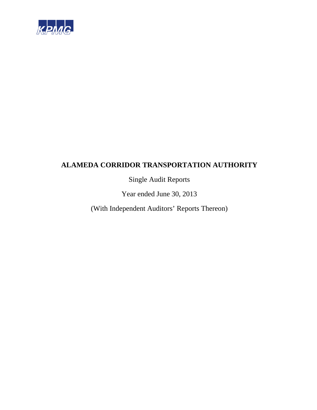

Single Audit Reports

Year ended June 30, 2013

(With Independent Auditors' Reports Thereon)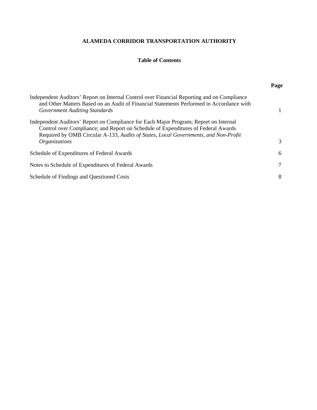## **Table of Contents**

|                                                                                                                                                                                                                                                                   | Page |
|-------------------------------------------------------------------------------------------------------------------------------------------------------------------------------------------------------------------------------------------------------------------|------|
| Independent Auditors' Report on Internal Control over Financial Reporting and on Compliance<br>and Other Matters Based on an Audit of Financial Statements Performed in Accordance with<br><b>Government Auditing Standards</b>                                   |      |
| Independent Auditors' Report on Compliance for Each Major Program; Report on Internal<br>Control over Compliance; and Report on Schedule of Expenditures of Federal Awards<br>Required by OMB Circular A-133, Audits of States, Local Governments, and Non-Profit |      |
| <i><b>Organizations</b></i>                                                                                                                                                                                                                                       | 3    |
| Schedule of Expenditures of Federal Awards                                                                                                                                                                                                                        | 6    |
| Notes to Schedule of Expenditures of Federal Awards                                                                                                                                                                                                               | 7    |
| Schedule of Findings and Questioned Costs                                                                                                                                                                                                                         | 8    |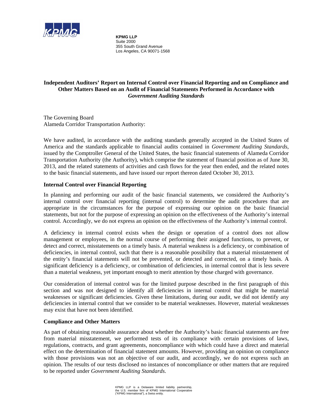

**KPMG LLP**  Suite 2000 355 South Grand Avenue Los Angeles, CA 90071-1568

### **Independent Auditors' Report on Internal Control over Financial Reporting and on Compliance and Other Matters Based on an Audit of Financial Statements Performed in Accordance with**  *Government Auditing Standards*

The Governing Board Alameda Corridor Transportation Authority:

We have audited, in accordance with the auditing standards generally accepted in the United States of America and the standards applicable to financial audits contained in *Government Auditing Standards*, issued by the Comptroller General of the United States, the basic financial statements of Alameda Corridor Transportation Authority (the Authority), which comprise the statement of financial position as of June 30, 2013, and the related statements of activities and cash flows for the year then ended, and the related notes to the basic financial statements, and have issued our report thereon dated October 30, 2013.

#### **Internal Control over Financial Reporting**

In planning and performing our audit of the basic financial statements, we considered the Authority's internal control over financial reporting (internal control) to determine the audit procedures that are appropriate in the circumstances for the purpose of expressing our opinion on the basic financial statements, but not for the purpose of expressing an opinion on the effectiveness of the Authority's internal control. Accordingly, we do not express an opinion on the effectiveness of the Authority's internal control.

A deficiency in internal control exists when the design or operation of a control does not allow management or employees, in the normal course of performing their assigned functions, to prevent, or detect and correct, misstatements on a timely basis. A material weakness is a deficiency, or combination of deficiencies, in internal control, such that there is a reasonable possibility that a material misstatement of the entity's financial statements will not be prevented, or detected and corrected, on a timely basis. A significant deficiency is a deficiency, or combination of deficiencies, in internal control that is less severe than a material weakness, yet important enough to merit attention by those charged with governance.

Our consideration of internal control was for the limited purpose described in the first paragraph of this section and was not designed to identify all deficiencies in internal control that might be material weaknesses or significant deficiencies. Given these limitations, during our audit, we did not identify any deficiencies in internal control that we consider to be material weaknesses. However, material weaknesses may exist that have not been identified.

#### **Compliance and Other Matters**

As part of obtaining reasonable assurance about whether the Authority's basic financial statements are free from material misstatement, we performed tests of its compliance with certain provisions of laws, regulations, contracts, and grant agreements, noncompliance with which could have a direct and material effect on the determination of financial statement amounts. However, providing an opinion on compliance with those provisions was not an objective of our audit, and accordingly, we do not express such an opinion. The results of our tests disclosed no instances of noncompliance or other matters that are required to be reported under *Government Auditing Standards*.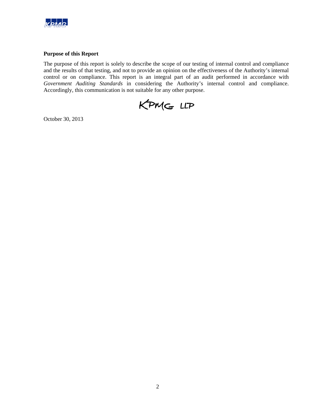

#### **Purpose of this Report**

The purpose of this report is solely to describe the scope of our testing of internal control and compliance and the results of that testing, and not to provide an opinion on the effectiveness of the Authority's internal control or on compliance. This report is an integral part of an audit performed in accordance with *Government Auditing Standards* in considering the Authority's internal control and compliance. Accordingly, this communication is not suitable for any other purpose.

KPMG LLP

October 30, 2013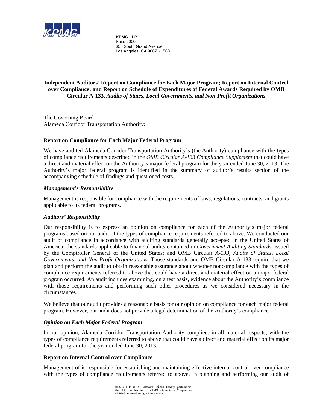

**KPMG LLP**  Suite 2000 355 South Grand Avenue Los Angeles, CA 90071-1568

**Independent Auditors' Report on Compliance for Each Major Program; Report on Internal Control over Compliance; and Report on Schedule of Expenditures of Federal Awards Required by OMB Circular A-133,** *Audits of States, Local Governments, and Non-Profit Organizations*

The Governing Board Alameda Corridor Transportation Authority:

#### **Report on Compliance for Each Major Federal Program**

We have audited Alameda Corridor Transportation Authority's (the Authority) compliance with the types of compliance requirements described in the *OMB Circular A-133 Compliance Supplement* that could have a direct and material effect on the Authority's major federal program for the year ended June 30, 2013. The Authority's major federal program is identified in the summary of auditor's results section of the accompanying schedule of findings and questioned costs.

#### *Management's Responsibility*

Management is responsible for compliance with the requirements of laws, regulations, contracts, and grants applicable to its federal programs.

#### *Auditors' Responsibility*

Our responsibility is to express an opinion on compliance for each of the Authority's major federal programs based on our audit of the types of compliance requirements referred to above. We conducted our audit of compliance in accordance with auditing standards generally accepted in the United States of America; the standards applicable to financial audits contained in *Government Auditing Standards*, issued by the Comptroller General of the United States; and OMB Circular *A-133, Audits of States, Local Governments, and Non-Profit Organizations*. Those standards and OMB Circular A-133 require that we plan and perform the audit to obtain reasonable assurance about whether noncompliance with the types of compliance requirements referred to above that could have a direct and material effect on a major federal program occurred. An audit includes examining, on a test basis, evidence about the Authority's compliance with those requirements and performing such other procedures as we considered necessary in the circumstances.

We believe that our audit provides a reasonable basis for our opinion on compliance for each major federal program. However, our audit does not provide a legal determination of the Authority's compliance.

#### *Opinion on Each Major Federal Program*

In our opinion, Alameda Corridor Transportation Authority complied, in all material respects, with the types of compliance requirements referred to above that could have a direct and material effect on its major federal program for the year ended June 30, 2013.

#### **Report on Internal Control over Compliance**

Management of is responsible for establishing and maintaining effective internal control over compliance with the types of compliance requirements referred to above. In planning and performing our audit of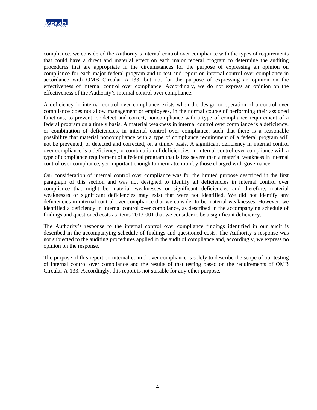

compliance, we considered the Authority's internal control over compliance with the types of requirements that could have a direct and material effect on each major federal program to determine the auditing procedures that are appropriate in the circumstances for the purpose of expressing an opinion on compliance for each major federal program and to test and report on internal control over compliance in accordance with OMB Circular A-133, but not for the purpose of expressing an opinion on the effectiveness of internal control over compliance. Accordingly, we do not express an opinion on the effectiveness of the Authority's internal control over compliance.

A deficiency in internal control over compliance exists when the design or operation of a control over compliance does not allow management or employees, in the normal course of performing their assigned functions, to prevent, or detect and correct, noncompliance with a type of compliance requirement of a federal program on a timely basis. A material weakness in internal control over compliance is a deficiency, or combination of deficiencies, in internal control over compliance, such that there is a reasonable possibility that material noncompliance with a type of compliance requirement of a federal program will not be prevented, or detected and corrected, on a timely basis. A significant deficiency in internal control over compliance is a deficiency, or combination of deficiencies, in internal control over compliance with a type of compliance requirement of a federal program that is less severe than a material weakness in internal control over compliance, yet important enough to merit attention by those charged with governance.

Our consideration of internal control over compliance was for the limited purpose described in the first paragraph of this section and was not designed to identify all deficiencies in internal control over compliance that might be material weaknesses or significant deficiencies and therefore, material weaknesses or significant deficiencies may exist that were not identified. We did not identify any deficiencies in internal control over compliance that we consider to be material weaknesses. However, we identified a deficiency in internal control over compliance, as described in the accompanying schedule of findings and questioned costs as items 2013-001 that we consider to be a significant deficiency.

The Authority's response to the internal control over compliance findings identified in our audit is described in the accompanying schedule of findings and questioned costs. The Authority's response was not subjected to the auditing procedures applied in the audit of compliance and, accordingly, we express no opinion on the response.

The purpose of this report on internal control over compliance is solely to describe the scope of our testing of internal control over compliance and the results of that testing based on the requirements of OMB Circular A-133. Accordingly, this report is not suitable for any other purpose.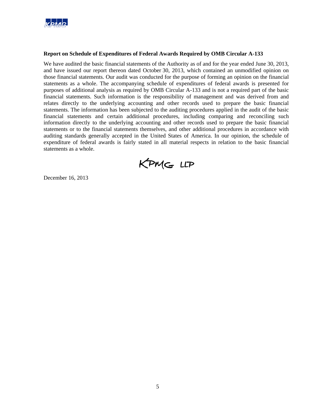

#### **Report on Schedule of Expenditures of Federal Awards Required by OMB Circular A-133**

We have audited the basic financial statements of the Authority as of and for the year ended June 30, 2013, and have issued our report thereon dated October 30, 2013, which contained an unmodified opinion on those financial statements. Our audit was conducted for the purpose of forming an opinion on the financial statements as a whole. The accompanying schedule of expenditures of federal awards is presented for purposes of additional analysis as required by OMB Circular A-133 and is not a required part of the basic financial statements. Such information is the responsibility of management and was derived from and relates directly to the underlying accounting and other records used to prepare the basic financial statements. The information has been subjected to the auditing procedures applied in the audit of the basic financial statements and certain additional procedures, including comparing and reconciling such information directly to the underlying accounting and other records used to prepare the basic financial statements or to the financial statements themselves, and other additional procedures in accordance with auditing standards generally accepted in the United States of America. In our opinion, the schedule of expenditure of federal awards is fairly stated in all material respects in relation to the basic financial statements as a whole.



December 16, 2013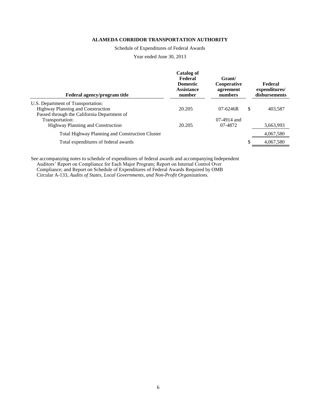Schedule of Expenditures of Federal Awards

Year ended June 30, 2013

| Federal agency/program title                                                            | Catalog of<br>Federal<br><b>Domestic</b><br><b>Assistance</b><br>number | Grant/<br>Cooperative<br>agreement<br>numbers |     | Federal<br>expenditures/<br>disbursements |
|-----------------------------------------------------------------------------------------|-------------------------------------------------------------------------|-----------------------------------------------|-----|-------------------------------------------|
| U.S. Department of Transportation:                                                      |                                                                         |                                               |     |                                           |
| <b>Highway Planning and Construction</b><br>Passed through the California Department of | 20.205                                                                  | $07-6246R$                                    | \$. | 403,587                                   |
| Transportation:                                                                         |                                                                         | $07-4914$ and                                 |     |                                           |
| <b>Highway Planning and Construction</b>                                                | 20.205                                                                  | 07-4872                                       |     | 3,663,993                                 |
| <b>Total Highway Planning and Construction Cluster</b>                                  |                                                                         |                                               |     | 4,067,580                                 |
| Total expenditures of federal awards                                                    |                                                                         |                                               |     | 4,067,580                                 |
|                                                                                         |                                                                         |                                               |     |                                           |

See accompanying notes to schedule of expenditures of federal awards and accompanying Independent Auditors' Report on Compliance for Each Major Program; Report on Internal Control Over Compliance; and Report on Schedule of Expenditures of Federal Awards Required by OMB Circular A-133, *Audits of States, Local Governments, and Non-Profit Organizations.*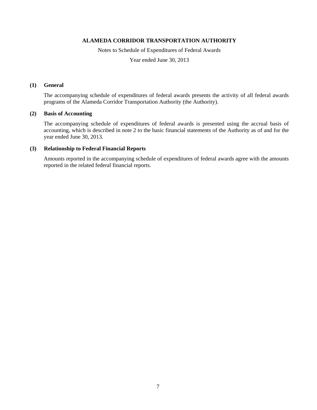Notes to Schedule of Expenditures of Federal Awards

Year ended June 30, 2013

#### **(1) General**

The accompanying schedule of expenditures of federal awards presents the activity of all federal awards programs of the Alameda Corridor Transportation Authority (the Authority).

#### **(2) Basis of Accounting**

The accompanying schedule of expenditures of federal awards is presented using the accrual basis of accounting, which is described in note 2 to the basic financial statements of the Authority as of and for the year ended June 30, 2013.

#### **(3) Relationship to Federal Financial Reports**

Amounts reported in the accompanying schedule of expenditures of federal awards agree with the amounts reported in the related federal financial reports.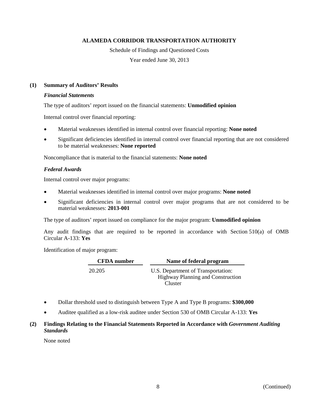Schedule of Findings and Questioned Costs

Year ended June 30, 2013

#### **(1) Summary of Auditors' Results**

#### *Financial Statements*

The type of auditors' report issued on the financial statements: **Unmodified opinion**

Internal control over financial reporting:

- Material weaknesses identified in internal control over financial reporting: **None noted**
- Significant deficiencies identified in internal control over financial reporting that are not considered to be material weaknesses: **None reported**

Noncompliance that is material to the financial statements: **None noted**

#### *Federal Awards*

Internal control over major programs:

- Material weaknesses identified in internal control over major programs: **None noted**
- Significant deficiencies in internal control over major programs that are not considered to be material weaknesses: **2013-001**

The type of auditors' report issued on compliance for the major program: **Unmodified opinion**

Any audit findings that are required to be reported in accordance with Section 510(a) of OMB Circular A-133: **Yes**

Identification of major program:

| <b>CFDA</b> number | Name of federal program                                                        |
|--------------------|--------------------------------------------------------------------------------|
| 20.205             | U.S. Department of Transportation:<br><b>Highway Planning and Construction</b> |
|                    | Cluster                                                                        |

- Dollar threshold used to distinguish between Type A and Type B programs: **\$300,000**
- Auditee qualified as a low-risk auditee under Section 530 of OMB Circular A-133: **Yes**
- **(2) Findings Relating to the Financial Statements Reported in Accordance with** *Government Auditing Standards*

None noted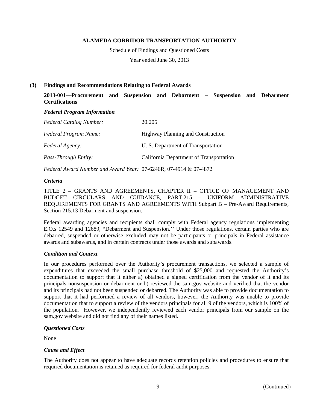Schedule of Findings and Questioned Costs

Year ended June 30, 2013

#### **(3) Findings and Recommendations Relating to Federal Awards**

**2013-001—Procurement and Suspension and Debarment – Suspension and Debarment Certifications** 

*Federal Program Information* 

| <b>Federal Catalog Number:</b> | 20.205                                   |
|--------------------------------|------------------------------------------|
| Federal Program Name:          | <b>Highway Planning and Construction</b> |
| Federal Agency:                | U. S. Department of Transportation       |
| Pass-Through Entity:           | California Department of Transportation  |

*Federal Award Number and Award Year:* 07-6246R, 07-4914 & 07-4872

#### *Criteria*

TITLE 2 – GRANTS AND AGREEMENTS, CHAPTER II – OFFICE OF MANAGEMENT AND BUDGET CIRCULARS AND GUIDANCE, PART 215 – UNIFORM ADMINISTRATIVE REQUIREMENTS FOR GRANTS AND AGREEMENTS WITH Subpart B – Pre-Award Requirements, Section 215.13 Debarment and suspension.

Federal awarding agencies and recipients shall comply with Federal agency regulations implementing E.O.s 12549 and 12689, "Debarment and Suspension.'' Under those regulations, certain parties who are debarred, suspended or otherwise excluded may not be participants or principals in Federal assistance awards and subawards, and in certain contracts under those awards and subawards.

#### *Condition and Context*

In our procedures performed over the Authority's procurement transactions, we selected a sample of expenditures that exceeded the small purchase threshold of \$25,000 and requested the Authority's documentation to support that it either a) obtained a signed certification from the vendor of it and its principals nonsuspension or debarment or b) reviewed the sam.gov website and verified that the vendor and its principals had not been suspended or debarred. The Authority was able to provide documentation to support that it had performed a review of all vendors, however, the Authority was unable to provide documentation that to support a review of the vendors principals for all 9 of the vendors, which is 100% of the population. However, we independently reviewed each vendor principals from our sample on the sam.gov website and did not find any of their names listed.

#### *Questioned Costs*

None

#### *Cause and Effect*

The Authority does not appear to have adequate records retention policies and procedures to ensure that required documentation is retained as required for federal audit purposes.